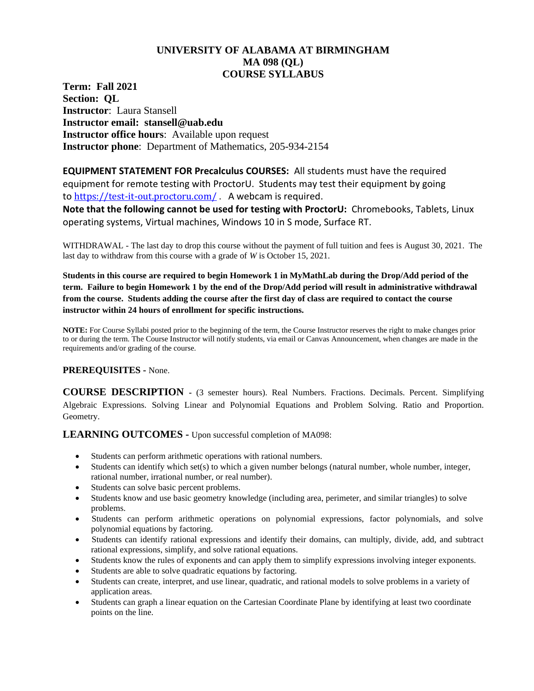# **UNIVERSITY OF ALABAMA AT BIRMINGHAM MA 098 (QL) COURSE SYLLABUS**

**Term: Fall 2021 Section: QL Instructor**: Laura Stansell **Instructor email: stansell@uab.edu Instructor office hours**: Available upon request **Instructor phone**: Department of Mathematics, 205-934-2154

**EQUIPMENT STATEMENT FOR Precalculus COURSES:** All students must have the required equipment for remote testing with ProctorU. Students may test their equipment by going to <https://test-it-out.proctoru.com/> . A webcam is required.

**Note that the following cannot be used for testing with ProctorU:** Chromebooks, Tablets, Linux operating systems, Virtual machines, Windows 10 in S mode, Surface RT.

WITHDRAWAL - The last day to drop this course without the payment of full tuition and fees is August 30, 2021. The last day to withdraw from this course with a grade of *W* is October 15, 2021.

**Students in this course are required to begin Homework 1 in MyMathLab during the Drop/Add period of the term. Failure to begin Homework 1 by the end of the Drop/Add period will result in administrative withdrawal from the course. Students adding the course after the first day of class are required to contact the course instructor within 24 hours of enrollment for specific instructions.**

**NOTE:** For Course Syllabi posted prior to the beginning of the term, the Course Instructor reserves the right to make changes prior to or during the term. The Course Instructor will notify students, via email or Canvas Announcement, when changes are made in the requirements and/or grading of the course.

## **PREREQUISITES -** None.

**COURSE DESCRIPTION -** (3 semester hours). Real Numbers. Fractions. Decimals. Percent. Simplifying Algebraic Expressions. Solving Linear and Polynomial Equations and Problem Solving. Ratio and Proportion. Geometry.

**LEARNING OUTCOMES -** Upon successful completion of MA098:

- Students can perform arithmetic operations with rational numbers.
- Students can identify which set(s) to which a given number belongs (natural number, whole number, integer, rational number, irrational number, or real number).
- Students can solve basic percent problems.
- Students know and use basic geometry knowledge (including area, perimeter, and similar triangles) to solve problems.
- Students can perform arithmetic operations on polynomial expressions, factor polynomials, and solve polynomial equations by factoring.
- Students can identify rational expressions and identify their domains, can multiply, divide, add, and subtract rational expressions, simplify, and solve rational equations.
- Students know the rules of exponents and can apply them to simplify expressions involving integer exponents.
- Students are able to solve quadratic equations by factoring.
- Students can create, interpret, and use linear, quadratic, and rational models to solve problems in a variety of application areas.
- Students can graph a linear equation on the Cartesian Coordinate Plane by identifying at least two coordinate points on the line.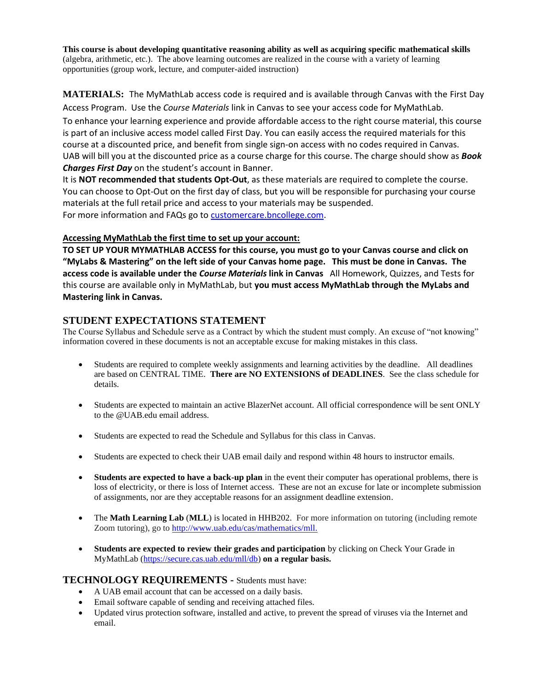**This course is about developing quantitative reasoning ability as well as acquiring specific mathematical skills** (algebra, arithmetic, etc.). The above learning outcomes are realized in the course with a variety of learning opportunities (group work, lecture, and computer-aided instruction)

**MATERIALS:** The MyMathLab access code is required and is available through Canvas with the First Day Access Program. Use the *Course Materials* link in Canvas to see your access code for MyMathLab.

To enhance your learning experience and provide affordable access to the right course material, this course is part of an inclusive access model called First Day. You can easily access the required materials for this course at a discounted price, and benefit from single sign-on access with no codes required in Canvas. UAB will bill you at the discounted price as a course charge for this course. The charge should show as *Book Charges First Day* on the student's account in Banner.

It is **NOT recommended that students Opt-Out**, as these materials are required to complete the course. You can choose to Opt-Out on the first day of class, but you will be responsible for purchasing your course materials at the full retail price and access to your materials may be suspended. For more information and FAQs go t[o customercare.bncollege.com.](https://customercare.bncollege.com/hc/en-us)

### **Accessing MyMathLab the first time to set up your account:**

**TO SET UP YOUR MYMATHLAB ACCESS for this course, you must go to your Canvas course and click on "MyLabs & Mastering" on the left side of your Canvas home page. This must be done in Canvas. The access code is available under the** *Course Materials* **link in Canvas** All Homework, Quizzes, and Tests for this course are available only in MyMathLab, but **you must access MyMathLab through the MyLabs and Mastering link in Canvas.**

## **STUDENT EXPECTATIONS STATEMENT**

The Course Syllabus and Schedule serve as a Contract by which the student must comply. An excuse of "not knowing" information covered in these documents is not an acceptable excuse for making mistakes in this class.

- Students are required to complete weekly assignments and learning activities by the deadline. All deadlines are based on CENTRAL TIME. **There are NO EXTENSIONS of DEADLINES**. See the class schedule for details.
- Students are expected to maintain an active BlazerNet account. All official correspondence will be sent ONLY to the @UAB.edu email address.
- Students are expected to read the Schedule and Syllabus for this class in Canvas.
- Students are expected to check their UAB email daily and respond within 48 hours to instructor emails.
- **Students are expected to have a back-up plan** in the event their computer has operational problems, there is loss of electricity, or there is loss of Internet access. These are not an excuse for late or incomplete submission of assignments, nor are they acceptable reasons for an assignment deadline extension.
- The **Math Learning Lab** (**MLL**) is located in HHB202. For more information on tutoring (including remote Zoom tutoring), go to [http://www.uab.edu/cas/mathematics/mll.](http://www.uab.edu/cas/mathematics/mll)
- **Students are expected to review their grades and participation** by clicking on Check Your Grade in MyMathLab [\(https://secure.cas.uab.edu/mll/db\)](https://secure.cas.uab.edu/mll/db) **on a regular basis.**

# **TECHNOLOGY REQUIREMENTS -** Students must have:

- A UAB email account that can be accessed on a daily basis.
- Email software capable of sending and receiving attached files.
- Updated virus protection software, installed and active, to prevent the spread of viruses via the Internet and email.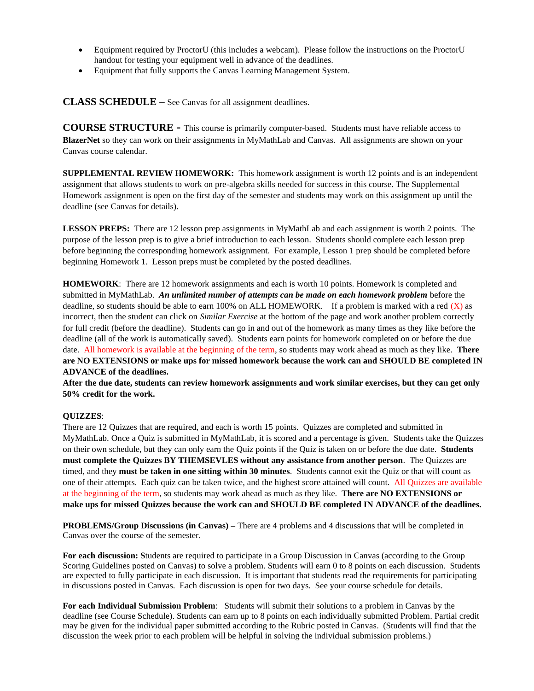- Equipment required by ProctorU (this includes a webcam). Please follow the instructions on the ProctorU handout for testing your equipment well in advance of the deadlines.
- Equipment that fully supports the Canvas Learning Management System.

**CLASS SCHEDULE** – See Canvas for all assignment deadlines.

**COURSE STRUCTURE -** This course is primarily computer-based. Students must have reliable access to **BlazerNet** so they can work on their assignments in MyMathLab and Canvas. All assignments are shown on your Canvas course calendar.

**SUPPLEMENTAL REVIEW HOMEWORK:** This homework assignment is worth 12 points and is an independent assignment that allows students to work on pre-algebra skills needed for success in this course. The Supplemental Homework assignment is open on the first day of the semester and students may work on this assignment up until the deadline (see Canvas for details).

**LESSON PREPS:** There are 12 lesson prep assignments in MyMathLab and each assignment is worth 2 points. The purpose of the lesson prep is to give a brief introduction to each lesson. Students should complete each lesson prep before beginning the corresponding homework assignment. For example, Lesson 1 prep should be completed before beginning Homework 1. Lesson preps must be completed by the posted deadlines.

**HOMEWORK**: There are 12 homework assignments and each is worth 10 points. Homework is completed and submitted in MyMathLab. *An unlimited number of attempts can be made on each homework problem* before the deadline, so students should be able to earn 100% on ALL HOMEWORK. If a problem is marked with a red (X) as incorrect, then the student can click on *Similar Exercise* at the bottom of the page and work another problem correctly for full credit (before the deadline). Students can go in and out of the homework as many times as they like before the deadline (all of the work is automatically saved). Students earn points for homework completed on or before the due date. All homework is available at the beginning of the term, so students may work ahead as much as they like. **There are NO EXTENSIONS or make ups for missed homework because the work can and SHOULD BE completed IN ADVANCE of the deadlines.**

**After the due date, students can review homework assignments and work similar exercises, but they can get only 50% credit for the work.**

## **QUIZZES**:

There are 12 Quizzes that are required, and each is worth 15 points. Quizzes are completed and submitted in MyMathLab. Once a Quiz is submitted in MyMathLab, it is scored and a percentage is given. Students take the Quizzes on their own schedule, but they can only earn the Quiz points if the Quiz is taken on or before the due date. **Students must complete the Quizzes BY THEMSEVLES without any assistance from another person**. The Quizzes are timed, and they **must be taken in one sitting within 30 minutes**. Students cannot exit the Quiz or that will count as one of their attempts. Each quiz can be taken twice, and the highest score attained will count. All Quizzes are available at the beginning of the term, so students may work ahead as much as they like. **There are NO EXTENSIONS or make ups for missed Quizzes because the work can and SHOULD BE completed IN ADVANCE of the deadlines.**

**PROBLEMS/Group Discussions (in Canvas) –** There are 4 problems and 4 discussions that will be completed in Canvas over the course of the semester.

**For each discussion: S**tudents are required to participate in a Group Discussion in Canvas (according to the Group Scoring Guidelines posted on Canvas) to solve a problem. Students will earn 0 to 8 points on each discussion. Students are expected to fully participate in each discussion. It is important that students read the requirements for participating in discussions posted in Canvas. Each discussion is open for two days. See your course schedule for details.

**For each Individual Submission Problem**: Students will submit their solutions to a problem in Canvas by the deadline (see Course Schedule). Students can earn up to 8 points on each individually submitted Problem. Partial credit may be given for the individual paper submitted according to the Rubric posted in Canvas. (Students will find that the discussion the week prior to each problem will be helpful in solving the individual submission problems.)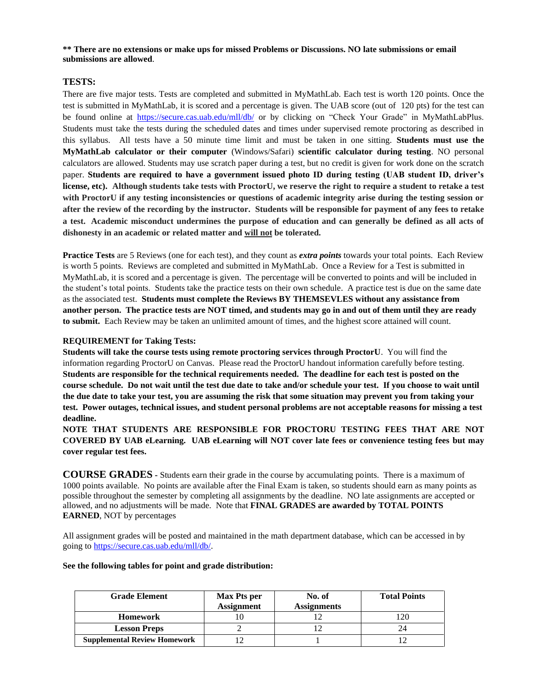**\*\* There are no extensions or make ups for missed Problems or Discussions. NO late submissions or email submissions are allowed**.

### **TESTS:**

There are five major tests. Tests are completed and submitted in MyMathLab. Each test is worth 120 points. Once the test is submitted in MyMathLab, it is scored and a percentage is given. The UAB score (out of 120 pts) for the test can be found online at <https://secure.cas.uab.edu/mll/db/> or by clicking on "Check Your Grade" in MyMathLabPlus. Students must take the tests during the scheduled dates and times under supervised remote proctoring as described in this syllabus. All tests have a 50 minute time limit and must be taken in one sitting. **Students must use the MyMathLab calculator or their computer** (Windows/Safari) **scientific calculator during testing**. NO personal calculators are allowed. Students may use scratch paper during a test, but no credit is given for work done on the scratch paper. **Students are required to have a government issued photo ID during testing (UAB student ID, driver's license, etc). Although students take tests with ProctorU, we reserve the right to require a student to retake a test with ProctorU if any testing inconsistencies or questions of academic integrity arise during the testing session or after the review of the recording by the instructor. Students will be responsible for payment of any fees to retake a test. Academic misconduct undermines the purpose of education and can generally be defined as all acts of dishonesty in an academic or related matter and will not be tolerated.**

**Practice Tests** are 5 Reviews (one for each test), and they count as *extra points* towards your total points. Each Review is worth 5 points. Reviews are completed and submitted in MyMathLab. Once a Review for a Test is submitted in MyMathLab, it is scored and a percentage is given. The percentage will be converted to points and will be included in the student's total points. Students take the practice tests on their own schedule. A practice test is due on the same date as the associated test. **Students must complete the Reviews BY THEMSEVLES without any assistance from another person. The practice tests are NOT timed, and students may go in and out of them until they are ready to submit.** Each Review may be taken an unlimited amount of times, and the highest score attained will count.

#### **REQUIREMENT for Taking Tests:**

**Students will take the course tests using remote proctoring services through ProctorU**. You will find the information regarding ProctorU on Canvas. Please read the ProctorU handout information carefully before testing. **Students are responsible for the technical requirements needed. The deadline for each test is posted on the course schedule. Do not wait until the test due date to take and/or schedule your test. If you choose to wait until the due date to take your test, you are assuming the risk that some situation may prevent you from taking your test. Power outages, technical issues, and student personal problems are not acceptable reasons for missing a test deadline.**

**NOTE THAT STUDENTS ARE RESPONSIBLE FOR PROCTORU TESTING FEES THAT ARE NOT COVERED BY UAB eLearning. UAB eLearning will NOT cover late fees or convenience testing fees but may cover regular test fees.** 

**COURSE GRADES -** Students earn their grade in the course by accumulating points. There is a maximum of 1000 points available. No points are available after the Final Exam is taken, so students should earn as many points as possible throughout the semester by completing all assignments by the deadline. NO late assignments are accepted or allowed, and no adjustments will be made. Note that **FINAL GRADES are awarded by TOTAL POINTS EARNED**, NOT by percentages

All assignment grades will be posted and maintained in the math department database, which can be accessed in by going t[o https://secure.cas.uab.edu/mll/db/.](https://secure.cas.uab.edu/mll/db/)

#### **See the following tables for point and grade distribution:**

| <b>Grade Element</b>                | Max Pts per       | No. of             | <b>Total Points</b> |
|-------------------------------------|-------------------|--------------------|---------------------|
|                                     | <b>Assignment</b> | <b>Assignments</b> |                     |
| <b>Homework</b>                     |                   |                    | 20                  |
| <b>Lesson Preps</b>                 |                   |                    | 24                  |
| <b>Supplemental Review Homework</b> |                   |                    |                     |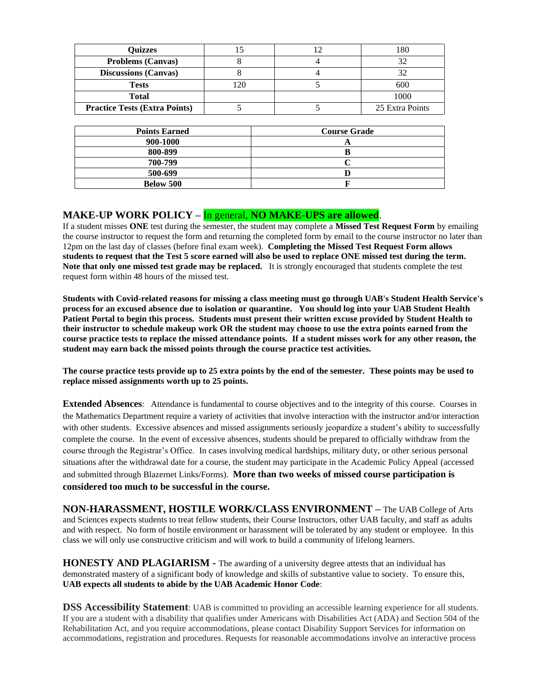| <b>Ouizzes</b>                       |    | 180             |
|--------------------------------------|----|-----------------|
| <b>Problems (Canvas)</b>             |    |                 |
| <b>Discussions (Canvas)</b>          |    |                 |
| <b>Tests</b>                         | 20 | 600             |
| <b>Total</b>                         |    | 1000            |
| <b>Practice Tests (Extra Points)</b> |    | 25 Extra Points |

| <b>Points Earned</b> | <b>Course Grade</b> |
|----------------------|---------------------|
|                      |                     |
| 900-1000             |                     |
| 800-899              |                     |
| 700-799              |                     |
| 500-699              |                     |
| <b>Below 500</b>     |                     |

# **MAKE-UP WORK POLICY –** In general, **NO MAKE-UPS are allowed**.

If a student misses **ONE** test during the semester, the student may complete a **Missed Test Request Form** by emailing the course instructor to request the form and returning the completed form by email to the course instructor no later than 12pm on the last day of classes (before final exam week). **Completing the Missed Test Request Form allows students to request that the Test 5 score earned will also be used to replace ONE missed test during the term. Note that only one missed test grade may be replaced.** It is strongly encouraged that students complete the test request form within 48 hours of the missed test.

**Students with Covid-related reasons for missing a class meeting must go through UAB's Student Health Service's process for an excused absence due to isolation or quarantine. You should log into your UAB Student Health Patient Portal to begin this process. Students must present their written excuse provided by Student Health to their instructor to schedule makeup work OR the student may choose to use the extra points earned from the course practice tests to replace the missed attendance points. If a student misses work for any other reason, the student may earn back the missed points through the course practice test activities.**

**The course practice tests provide up to 25 extra points by the end of the semester. These points may be used to replace missed assignments worth up to 25 points.**

**Extended Absences**: Attendance is fundamental to course objectives and to the integrity of this course. Courses in the Mathematics Department require a variety of activities that involve interaction with the instructor and/or interaction with other students. Excessive absences and missed assignments seriously jeopardize a student's ability to successfully complete the course. In the event of excessive absences, students should be prepared to officially withdraw from the course through the Registrar's Office. In cases involving medical hardships, military duty, or other serious personal situations after the withdrawal date for a course, the student may participate in the Academic Policy Appeal (accessed and submitted through Blazernet Links/Forms). **More than two weeks of missed course participation is considered too much to be successful in the course.**

**NON-HARASSMENT, HOSTILE WORK/CLASS ENVIRONMENT –** The UAB College of Arts and Sciences expects students to treat fellow students, their Course Instructors, other UAB faculty, and staff as adults and with respect. No form of hostile environment or harassment will be tolerated by any student or employee. In this class we will only use constructive criticism and will work to build a community of lifelong learners.

**HONESTY AND PLAGIARISM -** The awarding of a university degree attests that an individual has demonstrated mastery of a significant body of knowledge and skills of substantive value to society. To ensure this, **UAB expects all students to abide by the UAB Academic Honor Code**:

**DSS Accessibility Statement**: UAB is committed to providing an accessible learning experience for all students. If you are a student with a disability that qualifies under Americans with Disabilities Act (ADA) and Section 504 of the Rehabilitation Act, and you require accommodations, please contact Disability Support Services for information on accommodations, registration and procedures. Requests for reasonable accommodations involve an interactive process